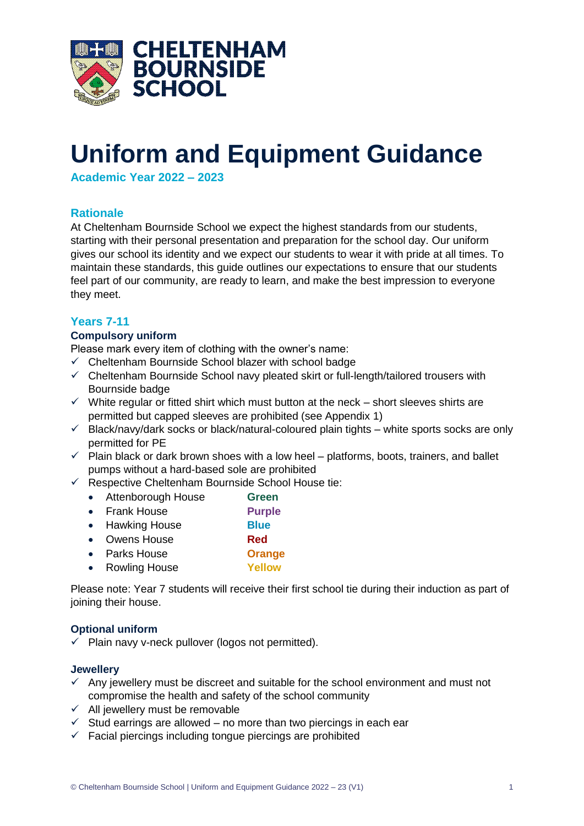

# **Uniform and Equipment Guidance**

**Academic Year 2022 – 2023**

## **Rationale**

At Cheltenham Bournside School we expect the highest standards from our students, starting with their personal presentation and preparation for the school day. Our uniform gives our school its identity and we expect our students to wear it with pride at all times. To maintain these standards, this guide outlines our expectations to ensure that our students feel part of our community, are ready to learn, and make the best impression to everyone they meet.

## **Years 7-11**

## **Compulsory uniform**

Please mark every item of clothing with the owner's name:

- ✓ Cheltenham Bournside School blazer with school badge
- $\checkmark$  Cheltenham Bournside School navy pleated skirt or full-length/tailored trousers with Bournside badge
- $\checkmark$  White regular or fitted shirt which must button at the neck short sleeves shirts are permitted but capped sleeves are prohibited (see Appendix 1)
- $\checkmark$  Black/navy/dark socks or black/natural-coloured plain tights white sports socks are only permitted for PE
- $\checkmark$  Plain black or dark brown shoes with a low heel platforms, boots, trainers, and ballet pumps without a hard-based sole are prohibited
- $\checkmark$  Respective Cheltenham Bournside School House tie:
	- Attenborough House **Green**
	- Frank House **Purple**
	- Hawking House **Blue**
	- Owens House **Red**
	- Parks House **Orange**
	- Rowling House **Yellow**

Please note: Year 7 students will receive their first school tie during their induction as part of joining their house.

## **Optional uniform**

 $\checkmark$  Plain navy v-neck pullover (logos not permitted).

## **Jewellery**

- $\checkmark$  Any jewellery must be discreet and suitable for the school environment and must not compromise the health and safety of the school community
- $\checkmark$  All jewellery must be removable
- $\checkmark$  Stud earrings are allowed no more than two piercings in each ear
- $\checkmark$  Facial piercings including tongue piercings are prohibited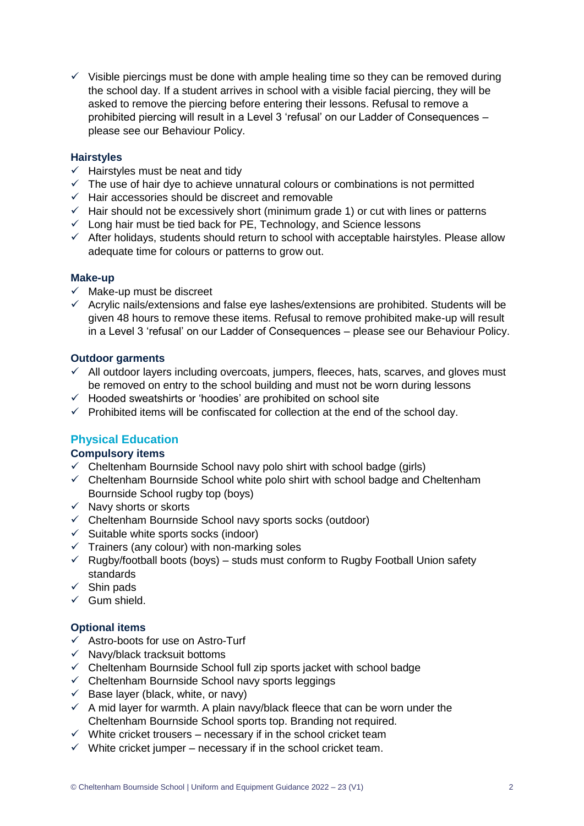$\checkmark$  Visible piercings must be done with ample healing time so they can be removed during the school day. If a student arrives in school with a visible facial piercing, they will be asked to remove the piercing before entering their lessons. Refusal to remove a prohibited piercing will result in a Level 3 'refusal' on our Ladder of Consequences – please see our Behaviour Policy.

### **Hairstyles**

- $\checkmark$  Hairstyles must be neat and tidy
- $\checkmark$  The use of hair dye to achieve unnatural colours or combinations is not permitted
- ✓ Hair accessories should be discreet and removable
- $\checkmark$  Hair should not be excessively short (minimum grade 1) or cut with lines or patterns
- ✓ Long hair must be tied back for PE, Technology, and Science lessons
- $\checkmark$  After holidays, students should return to school with acceptable hairstyles. Please allow adequate time for colours or patterns to grow out.

#### **Make-up**

- $\checkmark$  Make-up must be discreet
- $\checkmark$  Acrylic nails/extensions and false eye lashes/extensions are prohibited. Students will be given 48 hours to remove these items. Refusal to remove prohibited make-up will result in a Level 3 'refusal' on our Ladder of Consequences – please see our Behaviour Policy.

#### **Outdoor garments**

- $\checkmark$  All outdoor layers including overcoats, jumpers, fleeces, hats, scarves, and gloves must be removed on entry to the school building and must not be worn during lessons
- ✓ Hooded sweatshirts or 'hoodies' are prohibited on school site
- $\checkmark$  Prohibited items will be confiscated for collection at the end of the school day.

## **Physical Education**

## **Compulsory items**

- $\checkmark$  Cheltenham Bournside School navy polo shirt with school badge (girls)
- $\checkmark$  Cheltenham Bournside School white polo shirt with school badge and Cheltenham Bournside School rugby top (boys)
- $\checkmark$  Navy shorts or skorts
- ✓ Cheltenham Bournside School navy sports socks (outdoor)
- $\checkmark$  Suitable white sports socks (indoor)
- $\checkmark$  Trainers (any colour) with non-marking soles
- $\checkmark$  Rugby/football boots (boys) studs must conform to Rugby Football Union safety standards
- $\checkmark$  Shin pads
- $\checkmark$  Gum shield.

## **Optional items**

- ✓ Astro-boots for use on Astro-Turf
- $\checkmark$  Navy/black tracksuit bottoms
- ✓ Cheltenham Bournside School full zip sports jacket with school badge
- $\checkmark$  Cheltenham Bournside School navy sports leggings
- $\checkmark$  Base laver (black, white, or navy)
- $\checkmark$  A mid layer for warmth. A plain navy/black fleece that can be worn under the Cheltenham Bournside School sports top. Branding not required.
- $\checkmark$  White cricket trousers necessary if in the school cricket team
- $\checkmark$  White cricket jumper necessary if in the school cricket team.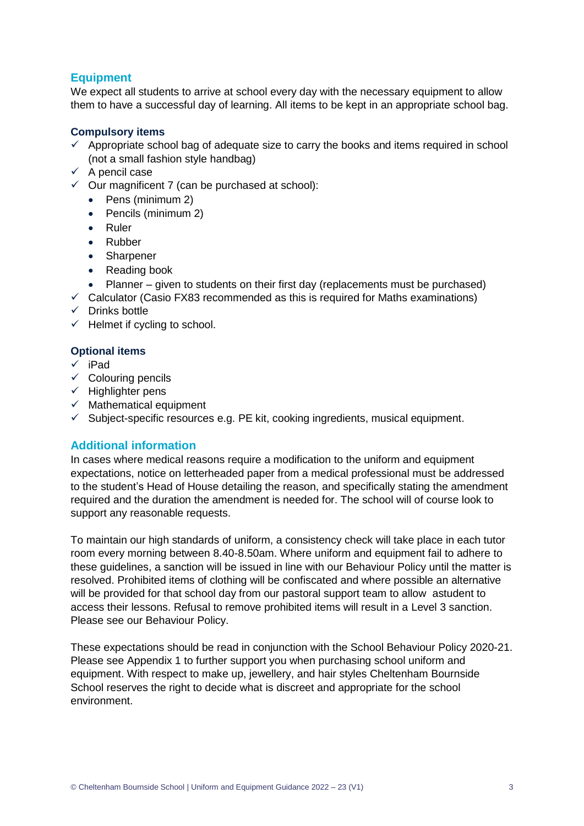## **Equipment**

We expect all students to arrive at school every day with the necessary equipment to allow them to have a successful day of learning. All items to be kept in an appropriate school bag.

## **Compulsory items**

- $\checkmark$  Appropriate school bag of adequate size to carry the books and items required in school (not a small fashion style handbag)
- $\checkmark$  A pencil case
- $\checkmark$  Our magnificent 7 (can be purchased at school):
	- Pens (minimum 2)
	- Pencils (minimum 2)
	- Ruler
	- Rubber
	- Sharpener
	- Reading book
	- Planner given to students on their first day (replacements must be purchased)
- $\checkmark$  Calculator (Casio FX83 recommended as this is required for Maths examinations)
- ✓ Drinks bottle
- $\checkmark$  Helmet if cycling to school.

## **Optional items**

- ✓ iPad
- $\checkmark$  Colouring pencils
- $\checkmark$  Highlighter pens
- $\checkmark$  Mathematical equipment
- $\checkmark$  Subject-specific resources e.g. PE kit, cooking ingredients, musical equipment.

## **Additional information**

In cases where medical reasons require a modification to the uniform and equipment expectations, notice on letterheaded paper from a medical professional must be addressed to the student's Head of House detailing the reason, and specifically stating the amendment required and the duration the amendment is needed for. The school will of course look to support any reasonable requests.

To maintain our high standards of uniform, a consistency check will take place in each tutor room every morning between 8.40-8.50am. Where uniform and equipment fail to adhere to these guidelines, a sanction will be issued in line with our Behaviour Policy until the matter is resolved. Prohibited items of clothing will be confiscated and where possible an alternative will be provided for that school day from our pastoral support team to allow astudent to access their lessons. Refusal to remove prohibited items will result in a Level 3 sanction. Please see our Behaviour Policy.

These expectations should be read in conjunction with the School Behaviour Policy 2020-21. Please see Appendix 1 to further support you when purchasing school uniform and equipment. With respect to make up, jewellery, and hair styles Cheltenham Bournside School reserves the right to decide what is discreet and appropriate for the school environment.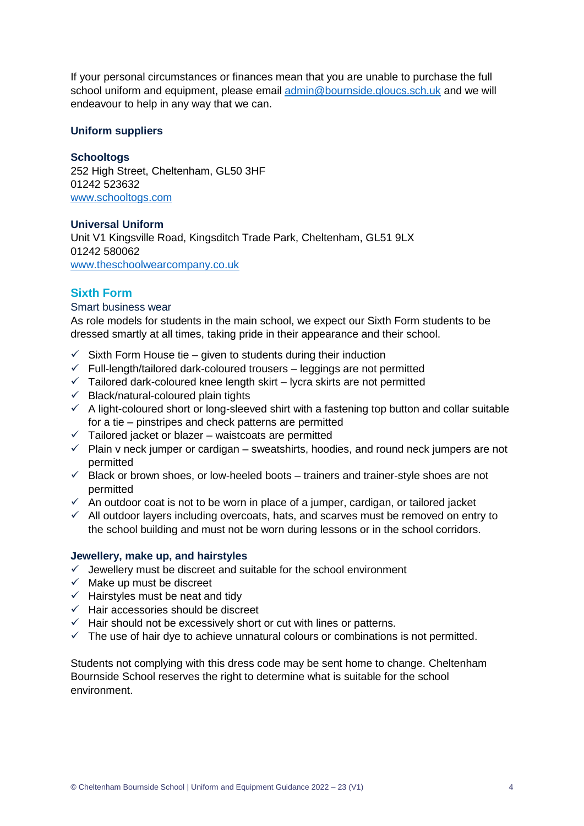If your personal circumstances or finances mean that you are unable to purchase the full school uniform and equipment, please email [admin@bournside.gloucs.sch.uk](mailto:admin@bournside.gloucs.sch.uk) and we will endeavour to help in any way that we can.

### **Uniform suppliers**

#### **Schooltogs**

252 High Street, Cheltenham, GL50 3HF 01242 523632 [www.schooltogs.com](http://www.schooltogs.com/)

#### **Universal Uniform**

Unit V1 Kingsville Road, Kingsditch Trade Park, Cheltenham, GL51 9LX 01242 580062 [www.theschoolwearcompany.co.uk](http://www.theschoolwearcompany.co.uk/)

## **Sixth Form**

#### Smart business wear

As role models for students in the main school, we expect our Sixth Form students to be dressed smartly at all times, taking pride in their appearance and their school.

- $\checkmark$  Sixth Form House tie given to students during their induction
- ✓ Full-length/tailored dark-coloured trousers leggings are not permitted
- $\checkmark$  Tailored dark-coloured knee length skirt lycra skirts are not permitted
- $\checkmark$  Black/natural-coloured plain tights
- $\checkmark$  A light-coloured short or long-sleeved shirt with a fastening top button and collar suitable for a tie – pinstripes and check patterns are permitted
- $\checkmark$  Tailored jacket or blazer waistcoats are permitted
- $\checkmark$  Plain v neck jumper or cardigan sweatshirts, hoodies, and round neck jumpers are not permitted
- $\checkmark$  Black or brown shoes, or low-heeled boots trainers and trainer-style shoes are not permitted
- $\checkmark$  An outdoor coat is not to be worn in place of a jumper, cardigan, or tailored jacket
- $\checkmark$  All outdoor layers including overcoats, hats, and scarves must be removed on entry to the school building and must not be worn during lessons or in the school corridors.

#### **Jewellery, make up, and hairstyles**

- $\checkmark$  Jewellery must be discreet and suitable for the school environment
- $\checkmark$  Make up must be discreet
- $\checkmark$  Hairstyles must be neat and tidy
- ✓ Hair accessories should be discreet
- $\checkmark$  Hair should not be excessively short or cut with lines or patterns.
- $\checkmark$  The use of hair dye to achieve unnatural colours or combinations is not permitted.

Students not complying with this dress code may be sent home to change. Cheltenham Bournside School reserves the right to determine what is suitable for the school environment.